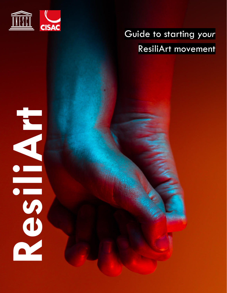

# Guide to starting *your* ResiliArt movement

# Residents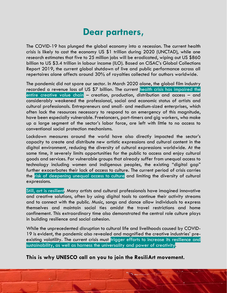# **Dear partners,**

The COVID-19 has plunged the global economy into a recession. The current health crisis is likely to cost the economy US \$1 trillion during 2020 (UNCTAD), while one research estimates that five to 25 million jobs will be eradicated, wiping out US \$860 billion to US \$3.4 trillion in labour income (ILO). Based on CISAC's Global Collections Report 2019, the current global shutdown of live and public performance across all repertoires alone affects around 30% of royalties collected for authors worldwide.

The pandemic did not spare our sector. In March 2020 alone, the global film industry recorded a revenue loss of US \$7 billion. The current health crisis has impaired the entire creative value chain – creation, production, distribution and access – and considerably weakened the professional, social and economic status of artists and cultural professionals. Entrepreneurs and small- and medium-sized enterprises, which often lack the resources necessary to respond to an emergency of this magnitude, have been especially vulnerable. Freelancers, part-timers and gig workers, who make up a large segment of the sector's labor force, are left with little to no access to conventional social protection mechanisms.

Lockdown measures around the world have also directly impacted the sector's capacity to create and distribute new artistic expressions and cultural content in the digital environment, reducing the diversity of cultural expressions worldwide. At the same time, it severely limits opportunities for the public to access and enjoy cultural goods and services. For vulnerable groups that already suffer from unequal access to technology including women and indigenous peoples, the existing "digital gap" further exacerbates their lack of access to culture. The current period of crisis carries the risk of deepening unequal access to culture and limiting the diversity of cultural expressions.

Still, art is resilient. Many artists and cultural professionals have imagined innovative and creative solutions, often by using digital tools to continue their activity streams and to connect with the public. Music, songs and dance allow individuals to express themselves and maintain social ties amidst the travel restrictions and home confinement. This extraordinary time also demonstrated the central role culture plays in building resilience and social cohesion.

While the unprecedented disruption to cultural life and livelihoods caused by COVID-19 is evident, the pandemic also revealed and magnified the creative industries' preexisting volatility. The current crisis must trigger efforts to increase its resilience and sustainability, as well as harness the universality and power of creativity.

**This is why UNESCO call on you to join the ResiliArt movement.**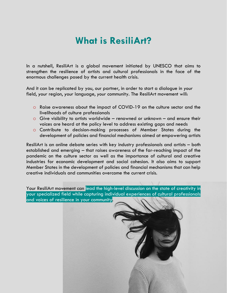## **What is ResiliArt?**

In a nutshell, ResiliArt is a global movement initiated by UNESCO that aims to strengthen the resilience of artists and cultural professionals in the face of the enormous challenges posed by the current health crisis.

And it can be replicated by you, our partner, in order to start a dialogue in *your* field, *your* region, *your* language, *your* community. The ResiliArt movement will:

- o Raise awareness about the impact of COVID-19 on the culture sector and the livelihoods of culture professionals
- $\circ$  Give visibility to artists worldwide renowned or unknown and ensure their voices are heard at the policy level to address existing gaps and needs
- o Contribute to decision-making processes of Member States during the development of policies and financial mechanisms aimed at empowering artists

ResiliArt is an online debate series with key industry professionals and artists – both established and emerging – that raises awareness of the far-reaching impact of the pandemic on the culture sector as well as the importance of cultural and creative industries for economic development and social cohesion. It also aims to support Member States in the development of policies and financial mechanisms that can help creative individuals and communities overcome the current crisis.

Your ResiliArt movement can lead the high-level discussion on the state of creativity in your specialized field while capturing individual experiences of cultural professionals and voices of resilience in your community.

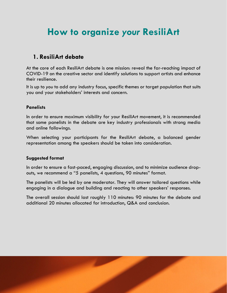# **How to organize** *your* **ResiliArt**

### **1. ResiliArt debate**

At the core of each ResiliArt debate is one mission: reveal the far-reaching impact of COVID-19 on the creative sector and identify solutions to support artists and enhance their resilience.

It is up to *you* to add any industry focus, specific themes or target population that suits you and your stakeholders' interests and concern.

### **Panelists**

In order to ensure maximum visibility for your ResiliArt movement, it is recommended that some panelists in the debate are key industry professionals with strong media and online followings.

When selecting your participants for the ResiliArt debate, a balanced gender representation among the speakers should be taken into consideration.

### **Suggested format**

In order to ensure a fast-paced, engaging discussion, and to minimize audience dropouts, we recommend a "5 panelists, 4 questions, 90 minutes" format.

The panelists will be led by one moderator. They will answer tailored questions while engaging in a dialogue and building and reacting to other speakers' responses.

The overall session should last roughly 110 minutes: 90 minutes for the debate and additional 20 minutes allocated for introduction, Q&A and conclusion.

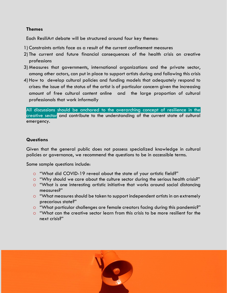### **Themes**

Each ResiliArt debate will be structured around four key themes:

- 1) Constraints artists face as a result of the current confinement measures
- 2) The current and future financial consequences of the health crisis on creative professions
- 3) Measures that governments, international organizations and the private sector, among other actors, can put in place to support artists during and following this crisis
- 4) How to develop cultural policies and funding models that adequately respond to crises: the issue of the status of the artist is of particular concern given the increasing amount of free cultural content online and the large proportion of cultural professionals that work informally

All discussions should be anchored to the overarching concept of resilience in the creative sector and contribute to the understanding of the current state of cultural emergency.

### **Questions**

Given that the general public does not possess specialized knowledge in cultural policies or governance, we recommend the questions to be in accessible terms.

Some sample questions include:

- o "What did COVID-19 reveal about the state of your artistic field?"
- o "Why should we care about the culture sector during the serious health crisis?"
- o "What is one interesting artistic initiative that works around social distancing measures?"
- o "What measures should be taken to support independent artists in an extremely precarious state?"
- o "What particular challenges are female creators facing during this pandemic?"
- o "What can the creative sector learn from this crisis to be more resilient for the next crisis?"

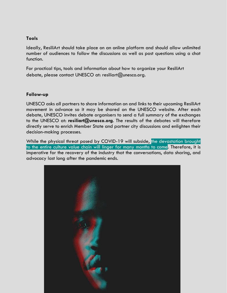### **Tools**

Ideally, ResiliArt should take place on an online platform and should allow unlimited number of audiences to follow the discussions as well as post questions using a chat function.

For practical tips, tools and information about how to organize your ResiliArt debate, please contact UNESCO at: resiliart@unesco.org.

### **Follow-up**

UNESCO asks all partners to share information on and links to their upcoming ResiliArt movement in advance so it may be shared on the UNESCO website. After each debate, UNESCO invites debate organisers to send a full summary of the exchanges to the UNESCO at: **resiliart@unesco.org**. The results of the debates will therefore directly serve to enrich Member State and partner city discussions and enlighten their decision-making processes.

While the physical threat posed by COVID-19 will subside, the devastation brought to the entire culture value chain will linger for many months to come. Therefore, it is imperative for the recovery of the industry that the conversations, data sharing, and advocacy last long after the pandemic ends.

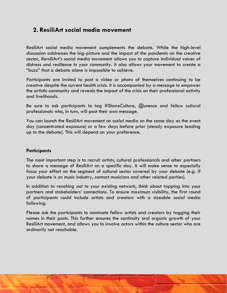### **2. ResiliArt social media movement**

ResiliArt social media movement complements the debate. While the high-level discussion addresses the big-picture and the impact of the pandemic on the creative sector, RersiliArt's social media movement allows you to capture individual voices of distress and resilience in your community. It also allows your movement to create a "buzz" that a debate alone is impossible to achieve.

Participants are invited to post a video or photo of themselves continuing to be creative despite the current health crisis. It is accompanied by a message to empower the artistic community and reveals the impact of the crisis on their professional activity and livelihoods.

Be sure to ask participants to tag #ShareCulture, @unesco and fellow cultural professionals who, in turn, will post their own message.

You can launch the ResiliArt movement on social media on the same day as the event day (concentrated exposure) or a few days before prior (steady exposure leading up to the debate). This will depend on your preference.

### **Participants**

The most important step is to recruit artists, cultural professionals and other partners to share a message of ResiliArt on a specific day. It will make sense to especially focus your effort on the segment of cultural sector covered by your debate (e.g. if your debate is on music industry, contact musicians and other related parties).

In addition to reaching out to your existing network, think about tapping into your partners and stakeholders' connections. To ensure maximum visibility, the first round of participants could include artists and creators with a sizeable social media following.

Please ask the participants to nominate fellow artists and creators by tagging their names in their posts. This further ensures the continuity and organic growth of your ResiliArt movement, and allows you to involve actors within the culture sector who are ordinarily not reachable.